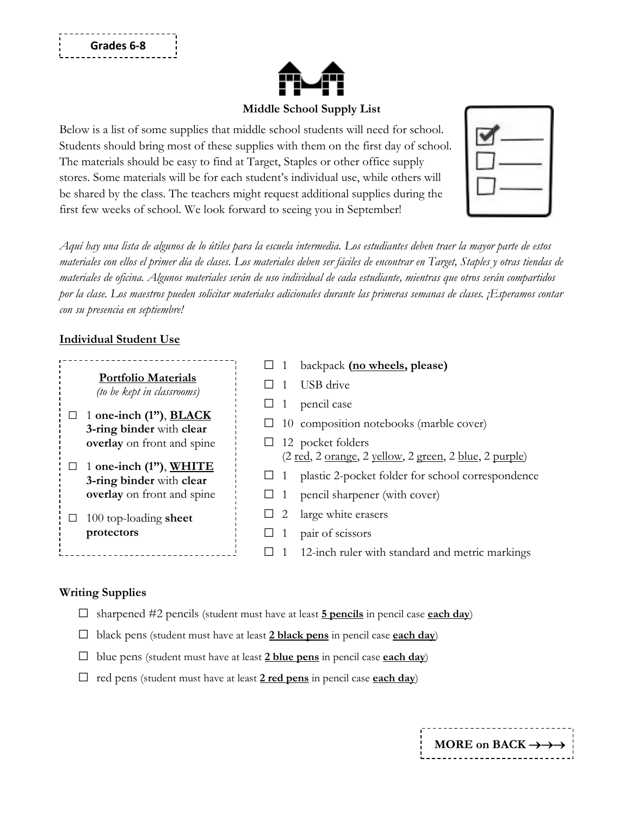

## **Middle School Supply List**

Below is a list of some supplies that middle school students will need for school. Students should bring most of these supplies with them on the first day of school. The materials should be easy to find at Target, Staples or other office supply stores. Some materials will be for each student's individual use, while others will be shared by the class. The teachers might request additional supplies during the first few weeks of school. We look forward to seeing you in September!

*Aquí hay una lista de algunos de lo útiles para la escuela intermedia. Los estudiantes deben traer la mayor parte de estos materiales con ellos el primer día de clases. Los materiales deben ser fáciles de encontrar en Target, Staples y otras tiendas de materiales de oficina. Algunos materiales serán de uso individual de cada estudiante, mientras que otros serán compartidos por la clase. Los maestros pueden solicitar materiales adicionales durante las primeras semanas de clases. ¡Esperamos contar con su presencia en septiembre!*

## **Individual Student Use**

|                                                               | backpack (no wheels, please)                                           |
|---------------------------------------------------------------|------------------------------------------------------------------------|
| <b>Portfolio Materials</b><br>(to be kept in classrooms)      | USB drive                                                              |
|                                                               | pencil case                                                            |
| 1 one-inch $(1'')$ , <b>BLACK</b><br>3-ring binder with clear | 10 composition notebooks (marble cover)                                |
| overlay on front and spine                                    | 12 pocket folders                                                      |
|                                                               | (2 <u>red</u> , 2 <u>orange</u> , 2 yellow, 2 green, 2 blue, 2 purple) |
| 1 one-inch (1"), WHITE<br>3-ring binder with clear            | plastic 2-pocket folder for school correspondence                      |
| overlay on front and spine                                    | pencil sharpener (with cover)                                          |
| 100 top-loading sheet                                         | large white erasers                                                    |
| protectors                                                    | pair of scissors                                                       |
|                                                               | 12-inch ruler with standard and metric markings                        |

## **Writing Supplies**

- **□** sharpened #2 pencils (student must have at least **5 pencils** in pencil case **each day**)
- **□** black pens (student must have at least **2 black pens** in pencil case **each day**)
- **□** blue pens (student must have at least **2 blue pens** in pencil case **each day**)
- **□** red pens (student must have at least **2 red pens** in pencil case **each day**)

| MORE on BACK $\rightarrow \rightarrow \rightarrow$ |
|----------------------------------------------------|
| -----------------------------                      |